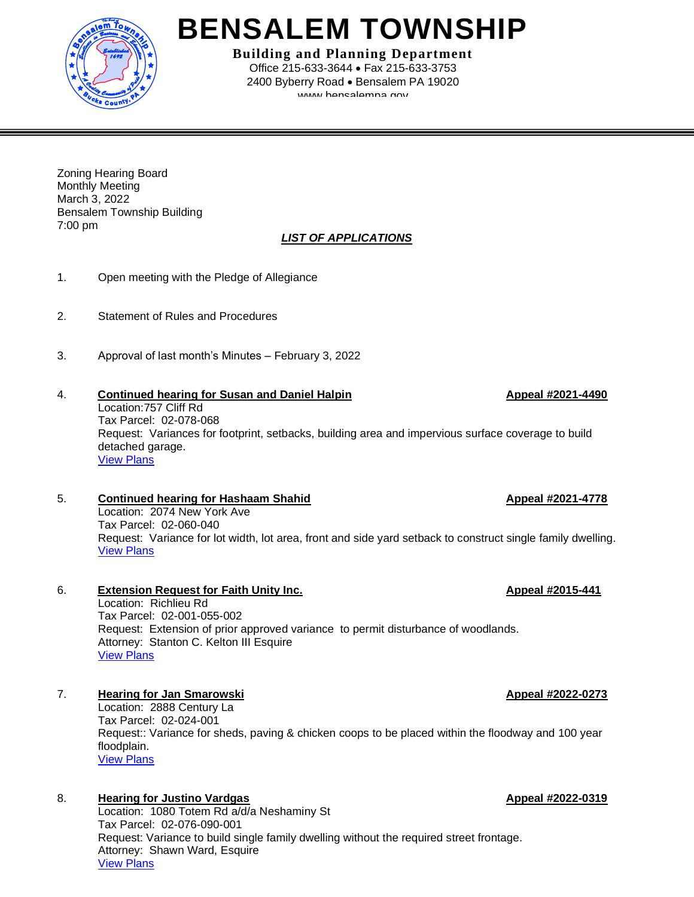

# **BENSALEM TOWNSHIP**

**Building and Planning Department** Office 215-633-3644 • Fax 215-633-3753 2400 Byberry Road • Bensalem PA 19020 www.hansalamna.gov

Zoning Hearing Board Monthly Meeting March 3, 2022 Bensalem Township Building 7:00 pm

### *LIST OF APPLICATIONS*

- 1. Open meeting with the Pledge of Allegiance
- 2. Statement of Rules and Procedures
- 3. Approval of last month's Minutes February 3, 2022

### 4. **Continued hearing for Susan and Daniel Halpin Appeal #2021-4490** Location:757 Cliff Rd Tax Parcel: 02-078-068 Request: Variances for footprint, setbacks, building area and impervious surface coverage to build detached garage. [View Plans](https://www.bensalempa.gov/uploads/2/4/9/3/24936441/cliff_rd_757_-_zhb_appeal.pdf)

5. **Continued hearing for Hashaam Shahid Appeal #2021-4778** Location: 2074 New York Ave Tax Parcel: 02-060-040 Request: Variance for lot width, lot area, front and side yard setback to construct single family dwelling. [View Plans](https://www.bensalempa.gov/uploads/2/4/9/3/24936441/new_york_ave_2074_-_zhb_appeal.pdf)

6. **Extension Request for Faith Unity Inc. Appeal #2015-441** Location: Richlieu Rd Tax Parcel: 02-001-055-002 Request: Extension of prior approved variance to permit disturbance of woodlands. Attorney: Stanton C. Kelton III Esquire [View Plans](https://www.bensalempa.gov/uploads/2/4/9/3/24936441/richlieu___galloway_rd_-_zhb_extension_request_-_faith_unity.pdf)

7. **Hearing for Jan Smarowski Appeal #2022-0273** Location: 2888 Century La Tax Parcel: 02-024-001 Request:: Variance for sheds, paving & chicken coops to be placed within the floodway and 100 year floodplain. [View Plans](https://www.bensalempa.gov/uploads/2/4/9/3/24936441/century_la_2888_-_zhb_appeal.pdf)

8. **Hearing for Justino Vardgas Appeal #2022-0319** Location: 1080 Totem Rd a/d/a Neshaminy St Tax Parcel: 02-076-090-001 Request: Variance to build single family dwelling without the required street frontage. Attorney: Shawn Ward, Esquire [View Plans](https://www.bensalempa.gov/uploads/2/4/9/3/24936441/totem_rd_1080_-_zhb_appeal.pdf)